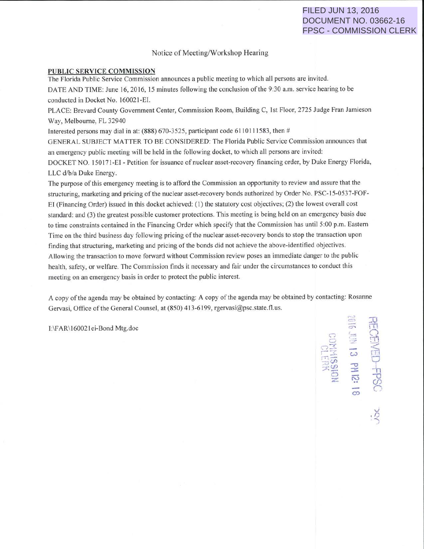## FILED JUN 13, 2016 DOCUMENT NO. 03662-16 FPSC - COMMISSION CLERK

## Notice of Meeting/Workshop Hearing

## PUBLIC SERVICE COMMISSION

The Florida Public Service Commission announces a public meeting to which all persons are invited.

DATE AND TIME: June 16, 2016, 15 minutes following the conclusion of the 9:30 a.m. service hearing to be conducted in Docket No. 160021-EI.

PLACE: Brevard County Government Center, Commission Room, Building C, I st Floor, 2725 Judge Fran Jamieson Way, Melbourne, FL 32940

Interested persons may dial in at:  $(888)$  670-3525, participant code 6110111583, then #

GENERAL SUBJECT MATTER TO BE CONSIDERED: The Florida Public Service Commission announces that an emergency public meeting will be held in the following docket, to which all persons are invited:

DOCKET NO. 150171-EI - Petition for issuance of nuclear asset-recovery financing order, by Duke Energy Florida, LLC d/b/a Duke Energy.

The purpose of this emergency meeting is to afford the Commission an opportunity to review and assure that the structuring, marketing and pricing of the nuclear asset-recovery bonds authorized by Order No. PSC-15-0537-FOF-EI (Financing Order) issued in this docket achieved: (I) the statutory cost objectives; (2) the lowest overall cost standard: and (3) the greatest possible customer protections. This meeting is being held on an emergency basis due to time constraints contained in the Financing Order which specify that the Commission has until 5:00 p.m. Eastern Time on the third business day following pricing of the nuclear asset-recovery bonds to stop the transaction upon finding that structuring, marketing and pricing of the bonds did not achieve the above-identified objectives. Allowing the transaction to move forward without Commission review poses an immediate danger to the public health, safety, or welfare. The Commission finds it necessary and fair under the circumstances to conduct this meeting on an emergency basis in order to protect the public interest.

A copy of the agenda may be obtained by contacting: A copy of the agenda may be obtained by contacting: Rosanne Gervasi, Office of the General Counsel, at (850) 413-6199, rgervasi@psc.state.fl.us.

I:\FAR\160021ei-Bond Mtg.doc

 $\Rightarrow$   $\infty$  $\circ$   $\in$  0.  $\mathbb{R}^{\mathbb{Z}}$  is  $\mathbb{R}^{\mathbb{Z}}$  $D$  -FPS<br>**CH IZ:**  $R$ <br>**15831014**<br>**15831014**  $\frac{1}{2}$   $\frac{1}{2}$ *-...) .r;* 

--